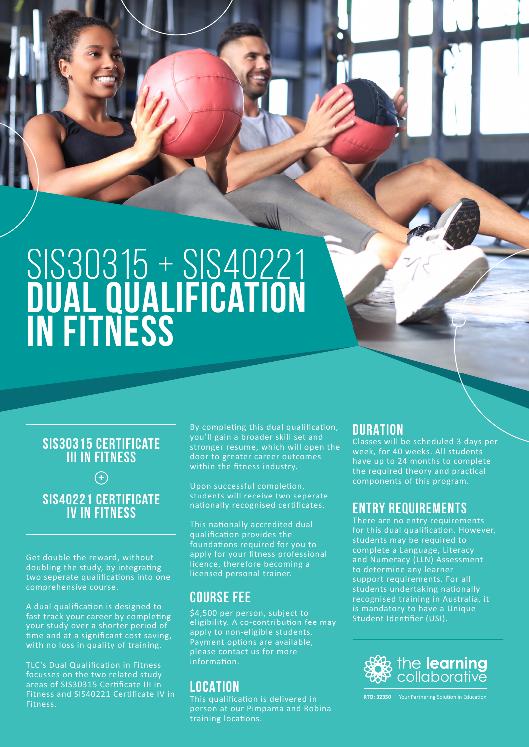# SIS30315 + SIS40221 **dual qualification in fitness**

## **SIS30315 certificate III in fitness**

**+**

# **SIS40221 Certificate IV in fitness**

Get double the reward, without doubling the study, by integrating two seperate qualifications into one comprehensive course.

A dual qualification is designed to fast track your career by completing your study over a shorter period of time and at a significant cost saving, with no loss in quality of training.

TLC's Dual Qualification in Fitness focusses on the two related study areas of SIS30315 Certificate III in Fitness and SIS40221 Certificate IV in Fitness.

By completing this dual qualification, you'll gain a broader skill set and stronger resume, which will open the door to greater career outcomes within the fitness industry.

Upon successful completion, students will receive two seperate nationally recognised certificates.

This nationally accredited dual qualification provides the foundations required for you to apply for your fitness professional licence, therefore becoming a licensed personal trainer.

# **COURSE FEE**

\$4,500 per person, subject to eligibility. A co-contribution fee may apply to non-eligible students. Payment options are available, please contact us for more information.

## **LOCATION**

This qualification is delivered in person at our Pimpama and Robina training locations.

## **DURATION**

Classes will be scheduled 3 days per week, for 40 weeks. All students have up to 24 months to complete the required theory and practical components of this program.

# **ENTRY REQUIREMENTS**

There are no entry requirements for this dual qualification. However, students may be required to complete a Language, Literacy and Numeracy (LLN) Assessment to determine any learner support requirements. For all students undertaking nationally recognised training in Australia, it is mandatory to have a Unique Student Identifier (USI).



**RTO: 32350** | Your Partnering Solution in Education